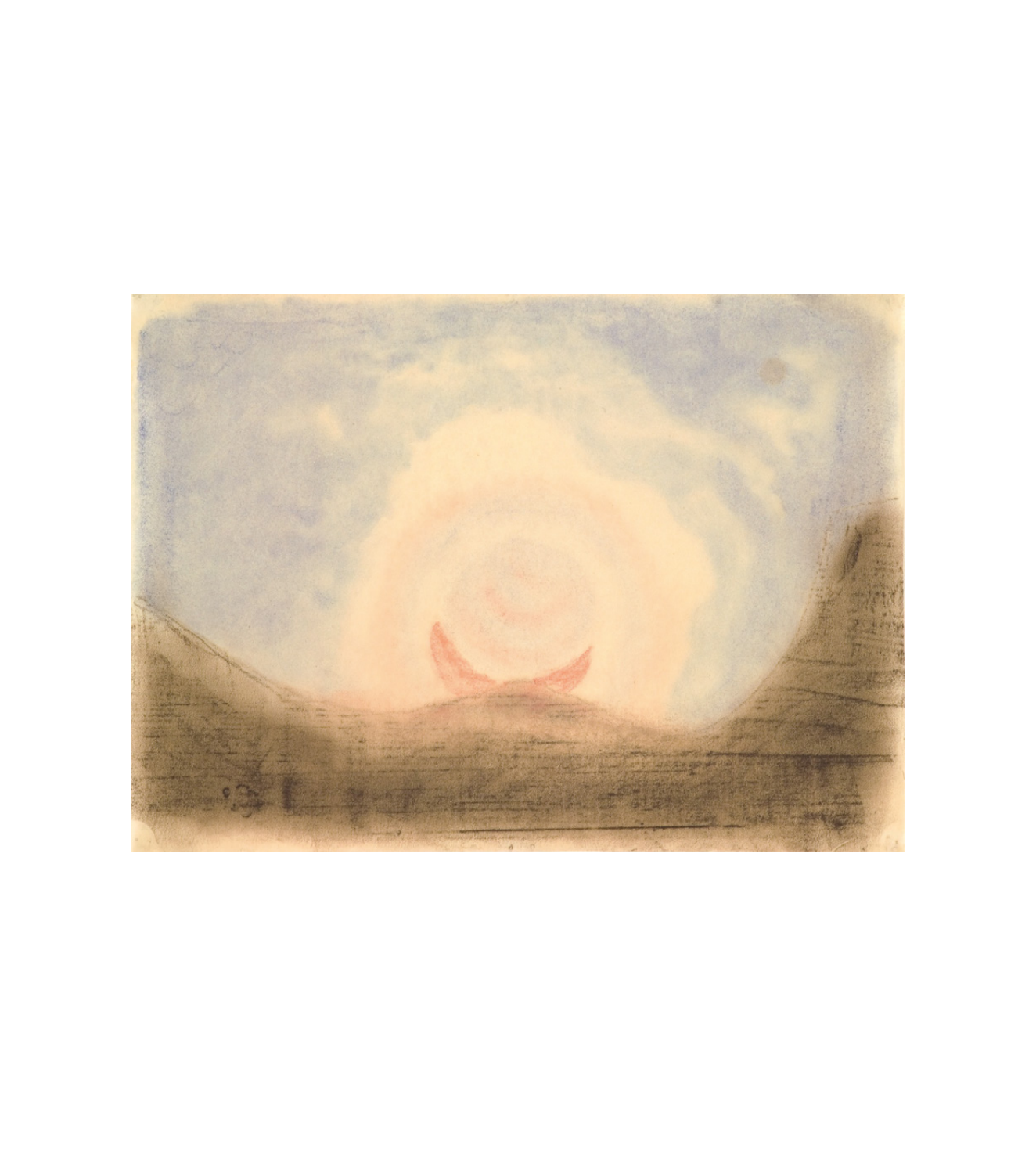